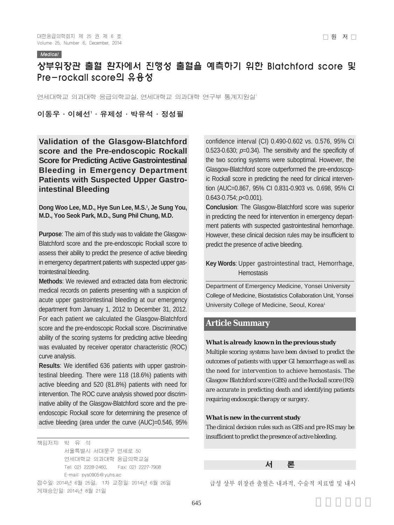#### **Medical**

# 상부위장관 출혈 환자에서 진행성 출혈을 예측하기 위한 Blatchford score 및 Pre-rockall score의 유용성

연세대학교 의과대학 응급의학교실, 연세대학교 의과대학 연구부 통계지원실

# 이동우 ∙ 이혜선' ∙ 유제성 ∙ 박유석 ∙ 정성필

**Validation of the Glasgow-Blatchford score and the Pre-endoscopic Rockall Score for Predicting Active Gastrointestinal Bleeding in Emergency Department Patients with Suspected Upper Gastrointestinal Bleeding**

**Dong Woo Lee, M.D., Hye Sun Lee, M.S.1 , Je Sung You, M.D., Yoo Seok Park, M.D., Sung Phil Chung, M.D.**

**Purpose**: The aim of this study was to validate the Glasgow-Blatchford score and the pre-endoscopic Rockall score to assess their ability to predict the presence of active bleeding in emergency department patients with suspected upper gastrointestinal bleeding.

**Methods**: We reviewed and extracted data from electronic medical records on patients presenting with a suspicion of acute upper gastrointestinal bleeding at our emergency department from January 1, 2012 to December 31, 2012. For each patient we calculated the Glasgow-Blatchford score and the pre-endoscopic Rockall score. Discriminative ability of the scoring systems for predicting active bleeding was evaluated by receiver operator characteristic (ROC) curve analysis.

**Results**: We identified 636 patients with upper gastrointestinal bleeding. There were 118 (18.6%) patients with active bleeding and 520 (81.8%) patients with need for intervention. The ROC curve analysis showed poor discriminative ability of the Glasgow-Blatchford score and the preendoscopic Rockall score for determining the presence of active bleeding (area under the curve (AUC)=0.546, 95%

책임저자: 박 유 석 서울특별시 서대문구 연세로 50 연세대학교 의과대학 응급의학교실 Tel: 02) 2228-2460, Fax: 02) 2227-7908 E-mail: pys0905@yuhs.ac 접수일: 2014년 6월 25일, 1차 교정일: 2014년 6월 26일 게재승인일: 2014년 8월 21일

confidence interval (CI) 0.490-0.602 vs. 0.576, 95% CI 0.523-0.630; *p*=0.34). The sensitivity and the specificity of the two scoring systems were suboptimal. However, the Glasgow-Blatchford score outperformed the pre-endoscopic Rockall score in predicting the need for clinical intervention (AUC=0.867, 95% CI 0.831-0.903 vs. 0.698, 95% CI 0.643-0.754; *p*<0.001).

**Conclusion**: The Glasgow-Blatchford score was superior in predicting the need for intervention in emergency department patients with suspected gastrointestinal hemorrhage. However, these clinical decision rules may be insufficient to predict the presence of active bleeding.

# **Key Words**: Upper gastrointestinal tract, Hemorrhage, **Hemostasis**

Department of Emergency Medicine, Yonsei University College of Medicine, Biostatistics Collaboration Unit, Yonsei University College of Medicine, Seoul, Korea<sup>1</sup>

# **Article Summary**

#### *What is already known in the previous study*

*Multiple scoring systems have been devised to predict the outcomes of patients with upper GI hemorrhage as well as the need for intervention to achieve hemostasis. The Glasgow Blatchford score (GBS) and the Rockall score (RS) are accurate in predicting death and identifying patients requiring endoscopic therapy or surgery.* 

## *What is new in the current study*

*The clinical decision rules such as GBS and pre-RS may be insufficient to predict the presence of active bleeding.*

## 서 론

급성 상부 위장관 출혈은 내과적, 수술적 치료법 및 내시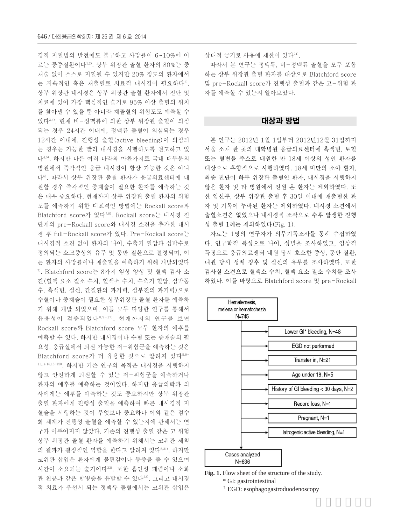경적 지혈법의 발전에도 불구하고 사망률이 6~10%에 이 르는 중증질환이다1,2). 상부 위장관 출혈 환자의 80%는 중 재술 없이 스스로 지혈될 수 있지만 20% 정도의 환자에서 는 지속적인 혹은 재출혈로 치료적 내시경이 필요하다2). 상부 위장관 내시경은 상부 위장관 출혈 환자에서 진단 및 치료에 있어 가장 핵심적인 술기로 95% 이상 출혈의 위치 를 찾아낼 수 있을 뿐 아니라 재출혈의 위험도도 예측할 수 있다3,4). 현재 비-정맥류에 의한 상부 위장관 출혈이 의심 되는 경우 24시간 이내에, 정맥류 출혈이 의심되는 경우 12시간 이내에, 진행성 출혈(active bleeding)이 의심되 는 경우는 가능한 빨리 내시경을 시행하도록 권고하고 있 다4,5). 하지만 다른 여러 나라와 마찬가지로 국내 대부분의 병원에서 즉각적인 응급 내시경이 항상 가능한 것은 아니 다6). 따라서 상부 위장관 출혈 환자가 응급의료센터에 내 원할 경우 즉각적인 중재술이 필요한 환자를 예측하는 것 은 매우 중요하다. 현재까지 상부 위장관 출혈 환자의 위험 도를 예측하기 위한 대표적인 방법에는 Rockall score와 Blatchford score가 있다7,8). Rockall score는 내시경 전 단계의 pre-Rockall score와 내시경 소견을 추가한 내시 경 후 full-Rockall score가 있다. Pre-Rockall score는 내시경적 소견 없이 환자의 나이, 수축기 혈압과 심박수로 정의되는 쇼크증상의 유무 및 동반 질환으로 결정되며, 이 는 환자의 사망률이나 재출혈을 예측하기 위해 개발되었다 7). Blatchford score는 8가지 임상 양상 및 혈액 검사 소 견(혈액 요소 질소 수치, 혈색소 수치, 수축기 혈압, 심박동 수, 흑색변, 실신, 간질환의 과거력, 심부전의 과거력)으로 수혈이나 중재술이 필요한 상부위장관 출혈 환자를 예측하 기 위해 개발 되었으며, 이들 모두 다양한 연구를 통해서 유용성이 검증되었다8,9-17). 현재까지의 연구를 보면 Rockall score와 Blatchford score 모두 환자의 예후를 예측할 수 있다. 하지만 내시경이나 수혈 또는 중재술의 필 요성, 응급실에서 퇴원 가능한 저-위험군을 예측하는 것은 Blatchford score가 더 유용한 것으로 알려져 있다5,9- 11,14,16,18-20). 하지만 기존 연구의 목적은 내시경을 시행하지 않고 안전하게 퇴원할 수 있는 저-위험군을 예측하거나 환자의 예후를 예측하는 것이었다. 하지만 응급의학과 의 사에게는 예후를 예측하는 것도 중요하지만 상부 위장관 출혈 환자에게 진행성 출혈을 예측하여 빠른 내시경적 지 혈술을 시행하는 것이 무엇보다 중요하나 이와 같은 점수 화 체계가 진행성 출혈을 예측할 수 있는지에 관해서는 연 구가 이루어지지 않았다. 기존의 진행성 출혈 같은 고 위험 상부 위장관 출혈 환자를 예측하기 위해서는 코위관 세척 의 결과가 결정적인 역할을 한다고 알려져 있다5,21). 하지만 코위관 삽입은 환자에게 불편감이나 통증을 줄 수 있으며 시간이 소요되는 술기이다22). 또한 흡인성 폐렴이나 소화 관 천공과 같은 합병증을 유발할 수 있다<sup>23)</sup>. 그리고 내시경 적 치료가 우선시 되는 정맥류 출혈에서는 코위관 삽입은 상대적 금기로 사용에 제한이 있다24).

따라서 본 연구는 정맥류, 비-정맥류 출혈을 모두 포함 하는 상부 위장관 출혈 환자를 대상으로 Blatchford score 및 pre-Rockall score가 진행성 출혈과 같은 고-위험 환 자를 예측할 수 있는지 알아보았다.

## 대상과 방법

본 연구는 2012년 1월 1일부터 2012년12월 31일까지 서울 소재 한 곳의 대학병원 응급의료센터에 흑색변, 토혈 또는 혈변을 주소로 내원한 만 18세 이상의 성인 환자를 대상으로 후향적으로 시행하였다. 18세 미만의 소아 환자, 최종 진단이 하부 위장관 출혈인 환자, 내시경을 시행하지 않은 환자 및 타 병원에서 전원 온 환자는 제외하였다. 또 한 임신부, 상부 위장관 출혈 후 30일 이내에 재출혈한 환 자 및 기록이 누락된 환자는 제외하였다. 내시경 소견에서 출혈소견은 없었으나 내시경적 조작으로 추후 발생한 진행 성 출혈 1례는 제외하였다(Fig. 1).

자료는 1명의 연구자가 의무기록조사를 통해 수집하였 다. 인구학적 특성으로 나이, 성별을 조사하였고, 임상적 특징으로 응급의료센터 내원 당시 호소한 증상, 동반 질환, 내원 당시 생체 징후 및 실신의 유무를 조사하였다. 또한 검사실 소견으로 혈색소 수치, 혈액 요소 질소 수치를 조사 하였다. 이를 바탕으로 Blatchford score 및 pre-Rockall





� EGD: esophagogastroduodenoscopy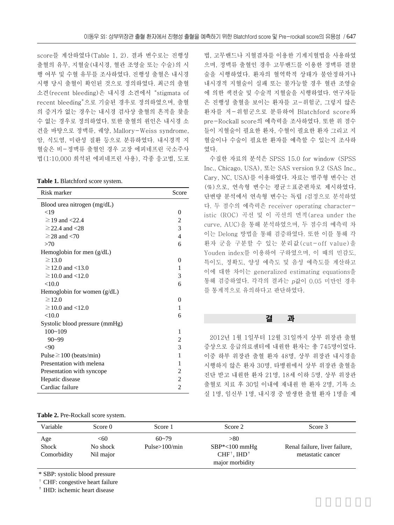score를 계산하였다(Table 1, 2). 결과 변수로는 진행성 출혈의 유무, 지혈술(내시경, 혈관 조영술 또는 수술)의 시 행 여부 및 수혈 유무를 조사하였다. 진행성 출혈은 내시경 시행 당시 출혈이 확인된 것으로 정의하였다. 최근의 출혈 소견(recent bleeding)은 내시경 소견에서"stigmata of recent bleeding"으로 기술된 경우로 정의하였으며, 출혈 의 증거가 없는 경우는 내시경 검사상 출혈의 흔적을 찾을 수 없는 경우로 정의하였다. 또한 출혈의 원인은 내시경 소 견을 바탕으로 정맥류, 궤양, Mallory-Weiss syndrome, 암, 식도염, 미란성 질환 등으로 분류하였다. 내시경적 지 혈술은 비-정맥류 출혈인 경우 고장 에피네프린 국소주사 법(1:10,000 희석된 에피네프린 사용), 각종 응고법, 도포

**Table 1.** Blatchford score system.

| Risk marker                    | Score          |
|--------------------------------|----------------|
| Blood urea nitrogen (mg/dL)    |                |
| $<$ 19                         | $\theta$       |
| $\geq$ 19 and <22.4            | 2              |
| $\geq$ 22.4 and <28            | 3              |
| $\geq$ 28 and $\lt$ 70         | $\overline{4}$ |
| >70                            | 6              |
| Hemoglobin for men $(g/dL)$    |                |
| $\geq$ 13.0                    | $\theta$       |
| $\geq$ 12.0 and <13.0          | 1              |
| $\geq$ 10.0 and <12.0          | 3              |
| < 10.0                         | 6              |
| Hemoglobin for women $(g/dL)$  |                |
| $\geq$ 12.0                    | 0              |
| $\geq$ 10.0 and <12.0          | 1              |
| $<$ 10.0                       | 6              |
| Systolic blood pressure (mmHg) |                |
| $100 - 109$                    | 1              |
| $90 - 99$                      | $\overline{c}$ |
| $90$                           | 3              |
| Pulse $\geq 100$ (beats/min)   | 1              |
| Presentation with melena       | 1              |
| Presentation with syncope      | $\overline{c}$ |
| Hepatic disease                | $\overline{2}$ |
| Cardiac failure                | $\overline{c}$ |

**Table 2.** Pre-Rockall score system.

법, 고무밴드나 지혈겸자를 이용한 기계지혈법을 사용하였 으며, 정맥류 출혈인 경우 고무밴드를 이용한 정맥류 결찰 술을 시행하였다. 환자의 혈역학적 상태가 불안정하거나 내시경적 지혈술이 실패 또는 불가능할 경우 혈관 조영술 에 의한 색전술 및 수술적 지혈술을 시행하였다. 연구자들 은 진행성 출혈을 보이는 환자를 고-위험군, 그렇지 않은 환자를 저-위험군으로 분류하여 Blatchford score와 pre-Rockall score의 예측력을 조사하였다. 또한 위 점수 들이 지혈술이 필요한 환자, 수혈이 필요한 환자 그리고 지 혈술이나 수술이 필요한 환자를 예측할 수 있는지 조사하 였다.

수집한 자료의 분석은 SPSS 15.0 for window (SPSS Inc., Chicago, USA), 또는 SAS version 9.2 (SAS Inc., Cary, NC, USA)를 이용하였다. 자료는 범주형 변수는 건 (%)으로, 연속형 변수는 평균±표준편차로 제시하였다. 단변량 분석에서 연속형 변수는 독립 <sup>t</sup>검정으로 분석하였 다. 두 점수의 예측력은 receiver operating characteristic (ROC) 곡선 및 이 곡선의 면적(area under the curve, AUC)을 통해 분석하였으며, 두 점수의 예측력 차 이는 Delong 방법을 통해 검증하였다. 또한 이를 통해 각 환자 군을 구분할 수 있는 분리값(cut-off value)을 Youden index를 이용하여 구하였으며, 이 때의 민감도, 특이도, 정확도, 양성 예측도 및 음성 예측도를 계산하고 이에 대한 차이는 generalized estimating equations을 통해 검증하였다. 각각의 결과는 <sup>p</sup>값이 0.05 미만인 경우 를 통계적으로 유의하다고 판단하였다.

## 결 과

2012년 1월 1일부터 12월 31일까지 상부 위장관 출혈 증상으로 응급의료센터에 내원한 환자는 총 745명이었다. 이중 하부 위장관 출혈 환자 48명, 상부 위장관 내시경을 시행하지 않은 환자 30명, 타병원에서 상부 위장관 출혈을 진단 받고 내원한 환자 21명, 18세 이하 5명, 상부 위장관 출혈로 치료 후 30일 이내에 재내원 한 환자 2명, 기록 소 실 1명, 임신부 1명, 내시경 중 발생한 출혈 환자 1명을 제

| Variable                    | Score 0                      | Score 1                       | Score 2                                                                                             | Score 3                                            |
|-----------------------------|------------------------------|-------------------------------|-----------------------------------------------------------------------------------------------------|----------------------------------------------------|
| Age<br>Shock<br>Comorbidity | <60<br>No shock<br>Nil major | $60 - 79$<br>Pulse $>100/min$ | > 80<br>$SBP*<100$ mmHg<br>$CHF^{\dagger}$ , IHD <sup><math>\dagger</math></sup><br>major morbidity | Renal failure, liver failure,<br>metastatic cancer |
|                             |                              |                               |                                                                                                     |                                                    |

\* SBP: systolic blood pressure

<sup>†</sup> CHF: congestive heart failure

� IHD: ischemic heart disease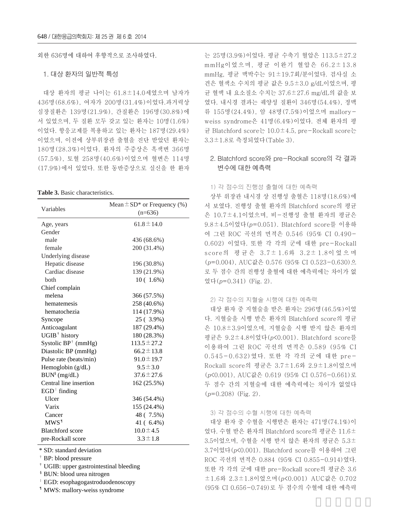외한 636명에 대하여 후향적으로 조사하였다.

## 1. 대상 환자의 일반적 특성

대상 환자의 평균 나이는 61.8±14.0세였으며 남자가 436명(68.6%), 여자가 200명(31.4%)이었다.과거력상 심장질환은 139명(21.9%), 간질환은 196명(30.8%)에 서 있었으며, 두 질환 모두 갖고 있는 환자는 10명(1.6%) 이었다. 항응고제를 복용하고 있는 환자는 187명(29.4%) 이었으며, 이전에 상부위장관 출혈을 진단 받았던 환자는 180명(28.3%)이었다. 환자의 주증상은 흑색변 366명 (57.5%), 토혈 258명(40.6%)이었으며 혈변은 114명 (17.9%)에서 있었다. 또한 동반증상으로 실신을 한 환자

#### **Table 3.** Basic characteristics.

| Variables               | Mean $\pm$ SD <sup>*</sup> or Frequency (%)<br>$(n=636)$ |  |  |  |  |
|-------------------------|----------------------------------------------------------|--|--|--|--|
| Age, years              | $61.8 \pm 14.0$                                          |  |  |  |  |
| Gender                  |                                                          |  |  |  |  |
| male                    | 436 (68.6%)                                              |  |  |  |  |
| female                  | 200 (31.4%)                                              |  |  |  |  |
| Underlying disease      |                                                          |  |  |  |  |
| Hepatic disease         | 196 (30.8%)                                              |  |  |  |  |
| Cardiac disease         | 139 (21.9%)                                              |  |  |  |  |
| both                    | $10(1.6\%)$                                              |  |  |  |  |
| Chief complain          |                                                          |  |  |  |  |
| melena                  | 366 (57.5%)                                              |  |  |  |  |
| hematemesis             | 258 (40.6%)                                              |  |  |  |  |
| hematochezia            | 114 (17.9%)                                              |  |  |  |  |
| Syncope                 | 25 (3.9%)                                                |  |  |  |  |
| Anticoagulant           | 187 (29.4%)                                              |  |  |  |  |
| $UGIB+ history$         | 180 (28.3%)                                              |  |  |  |  |
| Systolic $BP^+$ (mmHg)  | $113.5 \pm 27.2$                                         |  |  |  |  |
| Diastolic BP (mmHg)     | $66.2 \pm 13.8$                                          |  |  |  |  |
| Pulse rate (beats/min)  | $91.0 \pm 19.7$                                          |  |  |  |  |
| Hemoglobin (g/dL)       | $9.5 \pm 3.0$                                            |  |  |  |  |
| $BUN^{\S}$ (mg/dL)      | $37.6 \pm 27.6$                                          |  |  |  |  |
| Central line insertion  | 162 (25.5%)                                              |  |  |  |  |
| $EGD$ finding           |                                                          |  |  |  |  |
| Ulcer                   | 346 (54.4%)                                              |  |  |  |  |
| Varix                   | 155 (24.4%)                                              |  |  |  |  |
| Cancer                  | 48 (7.5%)                                                |  |  |  |  |
| MWS <sup>1</sup>        | 41 (6.4%)                                                |  |  |  |  |
| <b>Blatchford</b> score | $10.0 \pm 4.5$                                           |  |  |  |  |
| pre-Rockall score       | $3.3 \pm 1.8$                                            |  |  |  |  |

\* SD: standard deviation

<sup>†</sup> BP: blood pressure

� UGIB: upper gastrointestinal bleeding

§ BUN: blood urea nitrogen

‖ EGD: esophagogastroduodenoscopy

¶ MWS: mallory-weiss syndrome

는 25명(3.9%)이었다. 평균 수축기 혈압은 113.5±27.2 mmHg이었으며, 평균 이완기 혈압은 66.2±13.8 mmHg, 평균 맥박수는 91±19.7회/분이었다. 검사실 소 견은 혈색소 수치의 평균 값은 9.5±3.0 g/dL이었으며, 평 균 혈액 내 요소질소 수치는 37.6±27.6 mg/dL의 값을 보 였다. 내시경 결과는 궤양성 질환이 346명(54.4%), 정맥 류 155명(24.4%), 암 48명(7.5%)이었으며 malloryweiss syndrome은 41명(6.4%)이었다. 전체 환자의 평 균 Blatchford score는 10.0±4.5, pre-Rockall score는 3.3±1.8로 측정되었다(Table 3).

## 2. Blatchford score와 pre-Rockall score의 각 결과 변수에 대한 예측력

#### 1) 각 점수의 진행성 출혈에 대한 예측력

상부 위장관 내시경 상 진행성 출혈은 118명(18.6%)에 서 보였다. 진행성 출혈 환자의 Blatchford score의 평균 은 10.7±4.1이었으며, 비-진행성 출혈 환자의 평균은 9.8±4.5이었다(p=0.051). Blatchford score를 이용하 여 그린 ROC 곡선의 면적은 0.546 (95% CI 0.490- 0.602) 이었다. 또한 각 각의 군에 대한 pre-Rockall score의 평 균 은 3.7± 1.6와 3.2± 1.8이었으며 (p=0.004), AUC값은 0.576 (95% CI 0.523-0.630)으 로 두 점수 간의 진행성 출혈에 대한 예측력에는 차이가 없 었다(p=0.341) (Fig. 2).

### 2) 각 점수의 지혈술 시행에 대한 예측력

대상 환자 중 지혈술을 받은 환자는 296명(46.5%)이었 다. 지혈술을 시행 받은 환자의 Blatchford score의 평균 은 10.8±3.9이었으며, 지혈술을 시행 받지 않은 환자의 평균은 9.2±4.8이었다(p<0.001). Blatchford score를 이용하여 그린 ROC 곡선의 면적은 0.589 (95% CI 0.545-0.632)였다. 또한 각 각의 군에 대한 pre-Rockall score의 평균은 3.7±1.6와 2.9±1.8이었으며 (p<0.001), AUC값은 0.619 (95% CI 0.576-0.661)로 두 점수 간의 지혈술에 대한 예측력에는 차이가 없었다  $(p=0.208)$  (Fig. 2).

#### 3) 각 점수의 수혈 시행에 대한 예측력

대상 환자 중 수혈을 시행받은 환자는 471명(74.1%)이 었다. 수혈 받은 환자의 Blatchford score의 평균은 11.6± 3.5이었으며, 수혈을 시행 받지 않은 환자의 평균은 5.3± 3.7이었다(p<0.001). Blatchford score를 이용하여 그린 ROC 곡선의 면적은 0.884 (95% CI 0.855-0.914)였다. 또한 각 각의 군에 대한 pre-Rockall score의 평균은 3.6 ±1.6와 2.3±1.8이었으며(p<0.001) AUC값은 0.702 (95% CI 0.656-0.749)로 두 점수의 수혈에 대한 예측력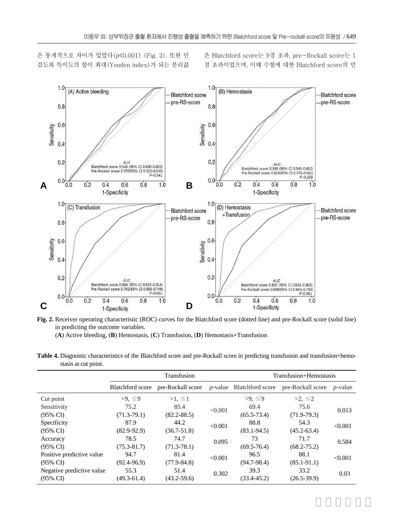은 통계적으로 차이가 있었다(p<0.001) (Fig. 2). 또한 민 감도와 특이도의 합이 최대(Youden index)가 되는 분리값 은 Blatchford score는 9점 초과, pre-Rockall score는 1 점 초과이었으며, 이때 수혈에 대한 Blatchford score의 민



**Fig. 2.** Receiver operating characteristic (ROC) curves for the Blatchford score (dotted line) and pre-Rockall score (solid line) in predicting the outcome variables.

(**A**) Active bleeding, (**B**) Hemostasis, (**C**) Transfusion, (**D**) Hemostasis+Transfusion

Table 4. Diagnostic characteristics of the Blatchford score and pre-Rockall score in predicting transfusion and transfusion+hemostasis at cut point.

|                           | Transfusion             |                   |         | Transfusion+Hemostasis           |                   |                 |
|---------------------------|-------------------------|-------------------|---------|----------------------------------|-------------------|-----------------|
|                           | <b>Blatchford</b> score | pre-Rockall score |         | <i>p</i> -value Blatchford score | pre-Rockall score | <i>p</i> -value |
| Cut point                 | >9, ≤9                  | $>1, \leq 1$      |         | >9, ≤9                           | $>2, \leq 2$      |                 |
| Sensitivity               | 75.2                    | 85.4              | < 0.001 | 69.4                             | 75.6              | 0.013           |
| $(95\% \text{ CI})$       | $(71.3 - 79.1)$         | $(82.2 - 88.5)$   |         | $(65.5 - 73.4)$                  | $(71.9-79.3)$     |                 |
| Specificity               | 87.9                    | 44.2              | < 0.001 | 88.8                             | 54.3              | < 0.001         |
| $(95\% \text{ CI})$       | $(82.9-92.9)$           | $(36.7 - 51.8)$   |         | $(83.1 - 94.5)$                  | $(45.2 - 63.4)$   |                 |
| Accuracy                  | 78.5                    | 74.7              | 0.095   | 73                               | 71.7              | 0.584           |
| $(95\% \text{ CI})$       | $(75.3 - 81.7)$         | $(71.3 - 78.1)$   |         | $(69.5 - 76.4)$                  | $(68.2 - 75.2)$   |                 |
| Positive predictive value | 94.7                    | 81.4              | < 0.001 | 96.5                             | 88.1              | < 0.001         |
| $(95\% \text{ CI})$       | $(92.4 - 96.9)$         | $(77.9 - 84.8)$   |         | $(94.7 - 98.4)$                  | $(85.1 - 91.1)$   |                 |
| Negative predictive value | 55.3                    | 51.4              | 0.302   | 39.3                             | 33.2              | 0.03            |
| $(95\% \text{ CI})$       | $(49.3 - 61.4)$         | $(43.2 - 59.6)$   |         | $(33.4 - 45.2)$                  | $(26.5 - 39.9)$   |                 |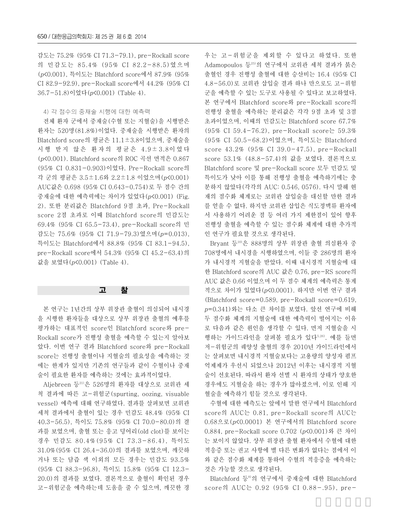감도는 75.2% (95% CI 71.3-79.1), pre-Rockall score 의 민감도는 85.4% (95% CI 82.2-88.5)였으며 (p<0.001), 특이도는 Blatchford score에서 87.9% (95% CI 82.9-92.9), pre-Rockall score에서 44.2% (95% CI 36.7-51.8)이었다(p<0.001) (Table 4).

#### 4) 각 점수의 중재술 시행에 대한 예측력

전체 환자 군에서 중재술(수혈 또는 지혈술)을 시행받은 환자는 520명(81.8%)이었다. 중재술을 시행받은 환자의 Blatchford score의 평균은 11.1±3.8이었으며, 중재술을 시행 받지 않은 환자의 평균은 4.9±3.8이었다 (p<0.001). Blatchford score의 ROC 곡선 면적은 0.867 (95% CI 0.831-0.903)이었다. Pre-Rockall score의 각 군의 평균은 3.5±1.6와 2.2±1.8 이었으며(p<0.001) AUC값은 0.698 (95% CI 0.643-0.754)로 두 점수 간의 중재술에 대한 예측력에는 차이가 있었다(p<0.001) (Fig. 2). 또한 분리값은 Blatchford 9점 초과, Pre-Rockall score 2점 초과로 이때 Blatchford score의 민감도는 69.4% (95% CI 65.5-73.4), pre-Rockall score의 민 감도는 75.6% (95% CI 71.9-79.3)였으며(p=0.013), 특이도는 Blatchford에서 88.8% (95% CI 83.1-94.5), pre-Rockall score에서 54.3% (95% CI 45.2-63.4)의 값을 보였다(p<0.001) (Table 4).

## 고 찰

본 연구는 1년간의 상부 위장관 출혈이 의심되어 내시경 을 시행한 환자들을 대상으로 상부 위장관 출혈의 예후를 평가하는 대표적인 score인 Blatchford score와 pre-Rockall score가 진행성 출혈을 예측할 수 있는지 알아보 았다. 이번 연구 결과 Blatchford score와 pre-Rockall score는 진행성 출혈이나 지혈술의 필요성을 예측하는 것 에는 한계가 있지만 기존의 연구들과 같이 수혈이나 중재 술이 필요한 환자를 예측하는 것에는 효과적이었다.

Aljebreen 등21)은 526명의 환자를 대상으로 코위관 세 척 결과에 따른 고-위험군(spurting, oozing, visuable vessel) 예측에 대해 연구하였다. 결과를 살펴보면 코위관 세척 결과에서 출혈이 있는 경우 민감도 48.4% (95% CI 40.3-56.5), 특이도 75.8% (95% CI 70.0-80.0)의 결 과를 보였으며, 출혈 또는 응고 덩어리(old clot)를 보이는 경우 민감도 80.4%(95% CI 73.3-86.4), 특이도 31.0%(95% CI 26.4-36.0)의 결과를 보였으며, 깨끗하 거나 또는 담즙 색 이외의 모든 경우는 민감도 93.5% (95% CI 88.3-96.8), 특이도 15.8% (95% CI 12.3- 20.0)의 결과를 보였다. 결론적으로 출혈이 확인된 경우 고-위험군을 예측하는데 도움을 줄 수 있으며, 깨끗한 경 우는 고-위험군을 제외할 수 있다고 하였다. 또한 Adamopoulos 등25)의 연구에서 코위관 세척 결과가 붉은 출혈인 경우 진행성 출혈에 대한 승산비는 16.4 (95% CI 4.8-56.0)로 코위관 삽입술 결과 하나 만으로도 고-위험 군을 예측할 수 있는 도구로 사용될 수 있다고 보고하였다. 본 연구에서 Blatchford score와 pre-Rockall score의 진행성 출혈을 예측하는 분리값은 각각 9점 초과 및 3점 초과이었으며, 이때의 민감도는 Blatchford score 67.7% (95% CI 59.4-76.2), pre-Rockall score는 59.3% (95% CI 50.5-68.2)이었으며, 특이도는 Blatchford score 43.2% (95% CI 39.0-47.5), pre-Rockall score 53.1% (48.8-57.4)의 값을 보였다. 결론적으로 Blatchford score 및 pre-Rockall score 모두 민감도 및 특이도가 낮아 이를 통해 진행성 출혈을 예측하기에는 충 분하지 않았다(각각의 AUC: 0.546, 0576). 다시 말해 현 재의 점수화 체계로는 코위관 삽입술을 대신할 만한 결과 를 얻을 수 없다. 하지만 코위관 삽입은 식도정맥류 환자에 서 사용하기 어려운 점 등 여러 가지 제한점이 있어 향후 진행성 출혈을 예측할 수 있는 점수화 체계에 대한 추가적 인 연구가 필요할 것으로 생각된다.

Bryant 등10)은 888명의 상부 위장관 출혈 의심환자 중 708명에서 내시경을 시행하였으며, 이들 중 286명의 환자 가 내시경적 지혈술을 받았다. 이때 내시경적 지혈술에 대 한 Blatchford score의 AUC 값은 0.76, pre-RS score의 AUC 값은 0.66 이었으며 이 두 점수 체계의 예측력은 통계 적으로 차이가 있었다(p<0.0001). 하지만 이번 연구 결과 (Blatchford score=0.589, pre-Rockall score=0.619, <sup>p</sup>=0.341)와는 다소 큰 차이를 보였다. 앞선 연구에 비해 두 점수화 체계의 지혈술에 대한 예측력이 떨어지는 이유 로 다음과 같은 원인을 생각할 수 있다. 먼저 지혈술을 시 행하는 가이드라인을 살펴볼 필요가 있다5,26). 예를 들면 저-위험군의 궤양성 출혈의 경우 2010년 가이드라인에서 는 살펴보면 내시경적 지혈술보다는 고용량의 양성자 펌프 억제제가 우선시 되었으나 2012년 이후는 내시경적 지혈 술이 선호된다. 따라서 환자 선별 시 환자의 상태가 양호한 경우에도 지혈술을 하는 경우가 많아졌으며, 이로 인해 지 혈술을 예측하기 힘들 것으로 생각된다.

수혈에 대한 예측도는 앞에서 말한 연구에서 Blatchford score의 AUC는 0.81, pre-Rockall score의 AUC는 0.68으로(p<0.0001) 본 연구에서의 Blatchford score 0.884, pre-Rockall score 0.702 (p<0.001)와 큰 차이 는 보이지 않았다. 상부 위장관 출혈 환자에서 수혈에 대한 적응증 또는 권고 사항에 별 다른 변화가 없다는 점에서 이 와 같은 점수화 체계를 통하여 수혈의 적응증을 예측하는 것은 가능할 것으로 생각된다.

Blatchford 등<sup>8)</sup>의 연구에서 중재술에 대한 Blatchford score의 AUC는 0.92 (95% CI 0.88-.95), pre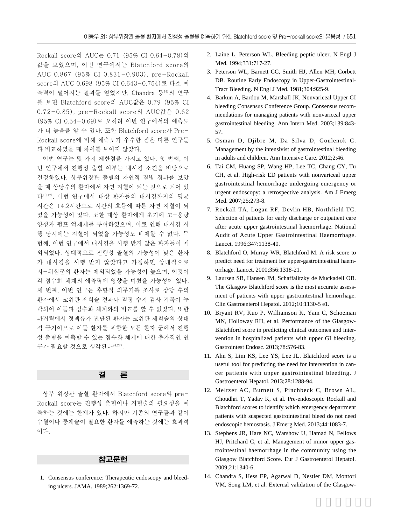Rockall score의 AUC는 0.71 (95% CI 0.64-0.78)의 값을 보였으며, 이번 연구에서는 Blatchford score의 AUC 0.867 (95% CI 0.831-0.903), pre-Rockall score의 AUC 0.698 (95% CI 0.643-0.754)로 다소 예 측력이 떨어지는 결과를 얻었지만, Chandra 등14)의 연구 를 보면 Blatchford score의 AUC값은 0.79 (95% CI 0.72-0.85), pre-Rockall score의 AUC값은 0.62 (95% CI 0.54-0.69)로 오히려 이번 연구에서의 예측도 가 더 높음을 알 수 있다. 또한 Blatchford score가 Pre-Rockall score에 비해 예측도가 우수한 점은 다른 연구들 과 비교하였을 때 차이를 보이지 않았다.

이번 연구는 몇 가지 제한점을 가지고 있다. 첫 번째, 이 번 연구에서 진행성 출혈 여부는 내시경 소견을 바탕으로 결정하였다. 상부위장관 출혈의 자연적 질병 경과를 보았 을 때 상당수의 환자에서 자연 지혈이 되는 것으로 되어 있 다10,12). 이번 연구에서 대상 환자들의 내시경까지의 평균 시간은 14.2시간으로 시간의 흐름에 따른 자연 지혈이 되 었을 가능성이 있다. 또한 대상 환자에게 초기에 고-용량 양성자 펌프 억제제를 투여하였으며, 이로 인해 내시경 시 행 당시에는 지혈이 되었을 가능성도 배제할 수 없다. 두 번째, 이번 연구에서 내시경을 시행 받지 않은 환자들이 제 외되었다. 상대적으로 진행성 출혈의 가능성이 낮은 환자 가 내시경을 시행 받지 않았다고 가정하면 상대적으로 저-위험군의 환자는 제외되었을 가능성이 높으며, 이것이 각 점수화 체계의 예측력에 영향을 미쳤을 가능성이 있다. 세 번째, 이번 연구는 후향적 의무기록 조사로 상당 수의 환자에서 코위관 세척술 결과나 직장 수지 검사 기록이 누 락되어 이들과 점수화 체계와의 비교를 할 수 없었다. 또한 과거력에서 정맥류가 진단된 환자는 코위관 세척술의 상대 적 금기이므로 이들 환자를 포함한 모든 환자 군에서 진행 성 출혈을 예측할 수 있는 점수화 체계에 대한 추가적인 연 구가 필요할 것으로 생각된다24,27).

## 결 론

상부 위장관 출혈 환자에서 Blatchford score와 pre-Rockall score는 진행성 출혈이나 지혈술의 필요성을 예 측하는 것에는 한계가 있다. 하지만 기존의 연구들과 같이 수혈이나 중재술이 필요한 환자를 예측하는 것에는 효과적 이다.

## 참고문헌

01. Consensus conference: Therapeutic endoscopy and bleeding ulcers. JAMA. 1989;262:1369-72.

- 02. Laine L, Peterson WL. Bleeding peptic ulcer. N Engl J Med. 1994;331:717-27.
- 03. Peterson WL, Barnett CC, Smith HJ, Allen MH, Corbett DB. Routine Early Endoscopy in Upper-Gastrointestinal-Tract Bleeding. N Engl J Med. 1981;304:925-9.
- 04. Barkun A, Bardou M, Marshall JK, Nonvariceal Upper GI bleeding Consensus Conference Group. Consensus recommendations for managing patients with nonvariceal upper gastrointestinal bleeding. Ann Intern Med. 2003;139:843- 57.
- 05. Osman D, Djibre M, Da Silva D, Goulenok C. Management by the intensivist of gastrointestinal bleeding in adults and children. Ann Intensive Care. 2012;2:46.
- 06. Tai CM, Huang SP, Wang HP, Lee TC, Chang CY, Tu CH, et al. High-risk ED patients with nonvariceal upper gastrointestinal hemorrhage undergoing emergency or urgent endoscopy: a retrospective analysis. Am J Emerg Med. 2007;25:273-8.
- 07. Rockall TA, Logan RF, Devlin HB, Northfield TC. Selection of patients for early discharge or outpatient care after acute upper gastrointestinal haemorrhage. National Audit of Acute Upper Gastrointestinal Haemorrhage. Lancet. 1996;347:1138-40.
- 08. Blatchford O, Murray WR, Blatchford M. A risk score to predict need for treatment for upper-gastrointestinal haemorrhage. Lancet. 2000;356:1318-21.
- 09. Laursen SB, Hansen JM, Schaffalitzky de Muckadell OB. The Glasgow Blatchford score is the most accurate assessment of patients with upper gastrointestinal hemorrhage. Clin Gastroenterol Hepatol. 2012;10:1130-5 e1.
- 10. Bryant RV, Kuo P, Williamson K, Yam C, Schoeman MN, Holloway RH, et al. Performance of the Glasgow-Blatchford score in predicting clinical outcomes and intervention in hospitalized patients with upper GI bleeding. Gastrointest Endosc. 2013;78:576-83.
- 11. Ahn S, Lim KS, Lee YS, Lee JL. Blatchford score is a useful tool for predicting the need for intervention in cancer patients with upper gastrointestinal bleeding. J Gastroenterol Hepatol. 2013;28:1288-94.
- 12. Meltzer AC, Burnett S, Pinchbeck C, Brown AL, Choudhri T, Yadav K, et al. Pre-endoscopic Rockall and Blatchford scores to identify which emergency department patients with suspected gastrointestinal bleed do not need endoscopic hemostasis. J Emerg Med. 2013;44:1083-7.
- 13. Stephens JR, Hare NC, Warshow U, Hamad N, Fellows HJ, Pritchard C, et al. Management of minor upper gastrointestinal haemorrhage in the community using the Glasgow Blatchford Score. Eur J Gastroenterol Hepatol. 2009;21:1340-6.
- 14. Chandra S, Hess EP, Agarwal D, Nestler DM, Montori VM, Song LM, et al. External validation of the Glasgow-